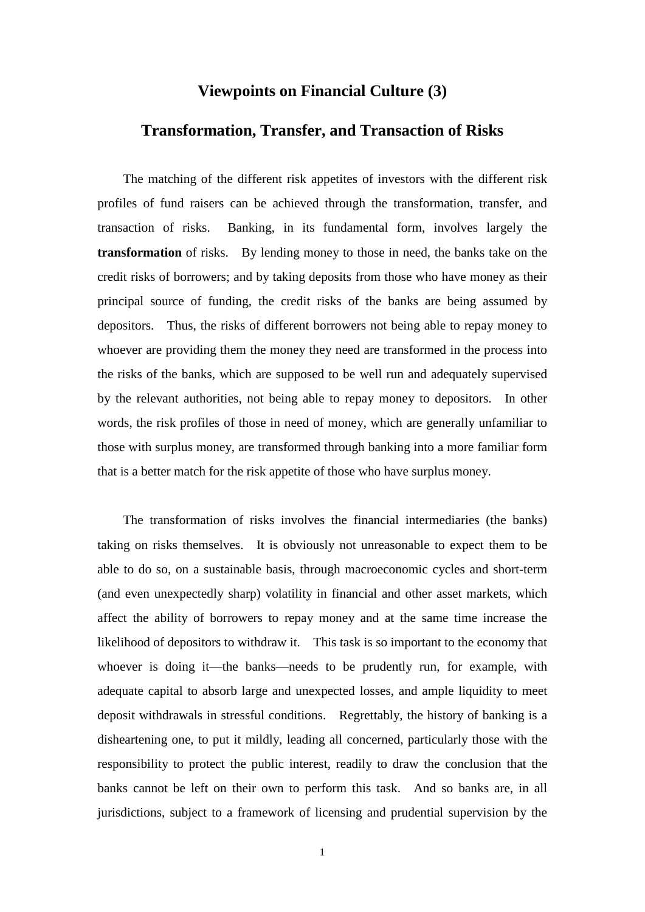## **Viewpoints on Financial Culture (3)**

## **Transformation, Transfer, and Transaction of Risks**

The matching of the different risk appetites of investors with the different risk profiles of fund raisers can be achieved through the transformation, transfer, and transaction of risks. Banking, in its fundamental form, involves largely the **transformation** of risks. By lending money to those in need, the banks take on the credit risks of borrowers; and by taking deposits from those who have money as their principal source of funding, the credit risks of the banks are being assumed by depositors. Thus, the risks of different borrowers not being able to repay money to whoever are providing them the money they need are transformed in the process into the risks of the banks, which are supposed to be well run and adequately supervised by the relevant authorities, not being able to repay money to depositors. In other words, the risk profiles of those in need of money, which are generally unfamiliar to those with surplus money, are transformed through banking into a more familiar form that is a better match for the risk appetite of those who have surplus money.

The transformation of risks involves the financial intermediaries (the banks) taking on risks themselves. It is obviously not unreasonable to expect them to be able to do so, on a sustainable basis, through macroeconomic cycles and short-term (and even unexpectedly sharp) volatility in financial and other asset markets, which affect the ability of borrowers to repay money and at the same time increase the likelihood of depositors to withdraw it. This task is so important to the economy that whoever is doing it—the banks—needs to be prudently run, for example, with adequate capital to absorb large and unexpected losses, and ample liquidity to meet deposit withdrawals in stressful conditions. Regrettably, the history of banking is a disheartening one, to put it mildly, leading all concerned, particularly those with the responsibility to protect the public interest, readily to draw the conclusion that the banks cannot be left on their own to perform this task. And so banks are, in all jurisdictions, subject to a framework of licensing and prudential supervision by the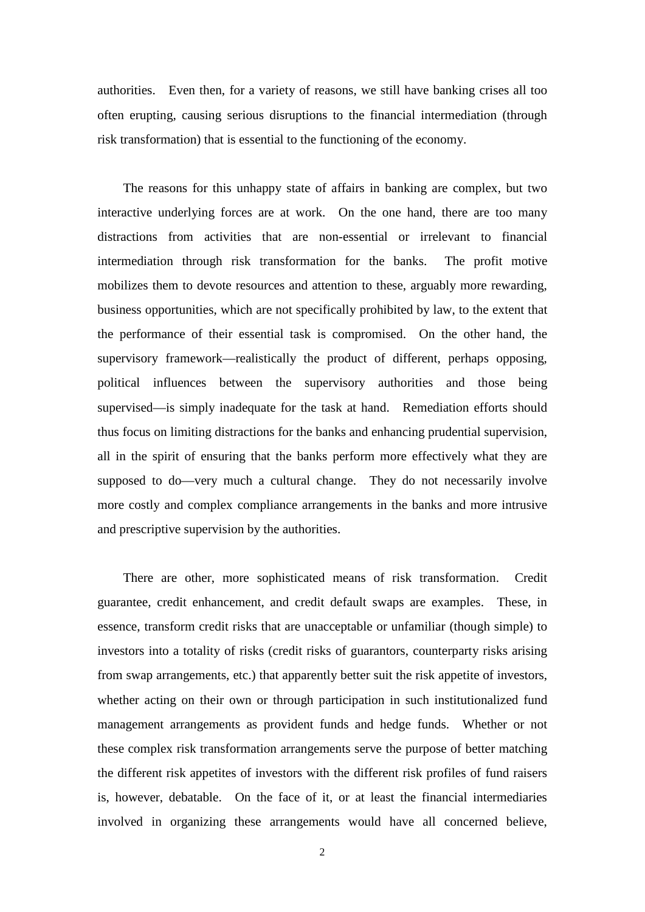authorities. Even then, for a variety of reasons, we still have banking crises all too often erupting, causing serious disruptions to the financial intermediation (through risk transformation) that is essential to the functioning of the economy.

The reasons for this unhappy state of affairs in banking are complex, but two interactive underlying forces are at work. On the one hand, there are too many distractions from activities that are non-essential or irrelevant to financial intermediation through risk transformation for the banks. The profit motive mobilizes them to devote resources and attention to these, arguably more rewarding, business opportunities, which are not specifically prohibited by law, to the extent that the performance of their essential task is compromised. On the other hand, the supervisory framework—realistically the product of different, perhaps opposing, political influences between the supervisory authorities and those being supervised—is simply inadequate for the task at hand. Remediation efforts should thus focus on limiting distractions for the banks and enhancing prudential supervision, all in the spirit of ensuring that the banks perform more effectively what they are supposed to do—very much a cultural change. They do not necessarily involve more costly and complex compliance arrangements in the banks and more intrusive and prescriptive supervision by the authorities.

There are other, more sophisticated means of risk transformation. Credit guarantee, credit enhancement, and credit default swaps are examples. These, in essence, transform credit risks that are unacceptable or unfamiliar (though simple) to investors into a totality of risks (credit risks of guarantors, counterparty risks arising from swap arrangements, etc.) that apparently better suit the risk appetite of investors, whether acting on their own or through participation in such institutionalized fund management arrangements as provident funds and hedge funds. Whether or not these complex risk transformation arrangements serve the purpose of better matching the different risk appetites of investors with the different risk profiles of fund raisers is, however, debatable. On the face of it, or at least the financial intermediaries involved in organizing these arrangements would have all concerned believe,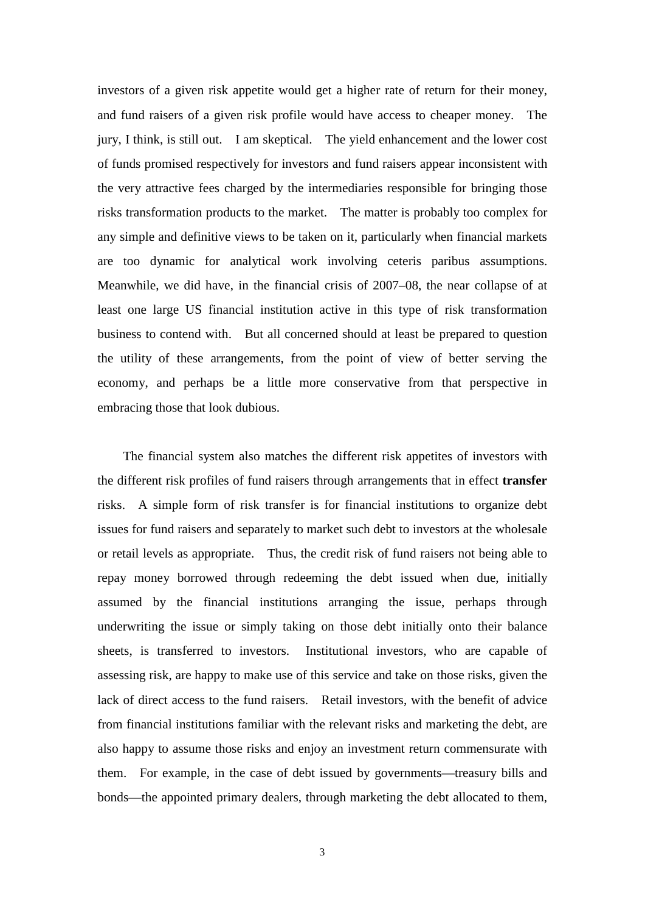investors of a given risk appetite would get a higher rate of return for their money, and fund raisers of a given risk profile would have access to cheaper money. The jury, I think, is still out. I am skeptical. The yield enhancement and the lower cost of funds promised respectively for investors and fund raisers appear inconsistent with the very attractive fees charged by the intermediaries responsible for bringing those risks transformation products to the market. The matter is probably too complex for any simple and definitive views to be taken on it, particularly when financial markets are too dynamic for analytical work involving ceteris paribus assumptions. Meanwhile, we did have, in the financial crisis of 2007–08, the near collapse of at least one large US financial institution active in this type of risk transformation business to contend with. But all concerned should at least be prepared to question the utility of these arrangements, from the point of view of better serving the economy, and perhaps be a little more conservative from that perspective in embracing those that look dubious.

The financial system also matches the different risk appetites of investors with the different risk profiles of fund raisers through arrangements that in effect **transfer**  risks. A simple form of risk transfer is for financial institutions to organize debt issues for fund raisers and separately to market such debt to investors at the wholesale or retail levels as appropriate. Thus, the credit risk of fund raisers not being able to repay money borrowed through redeeming the debt issued when due, initially assumed by the financial institutions arranging the issue, perhaps through underwriting the issue or simply taking on those debt initially onto their balance sheets, is transferred to investors. Institutional investors, who are capable of assessing risk, are happy to make use of this service and take on those risks, given the lack of direct access to the fund raisers. Retail investors, with the benefit of advice from financial institutions familiar with the relevant risks and marketing the debt, are also happy to assume those risks and enjoy an investment return commensurate with them. For example, in the case of debt issued by governments—treasury bills and bonds—the appointed primary dealers, through marketing the debt allocated to them,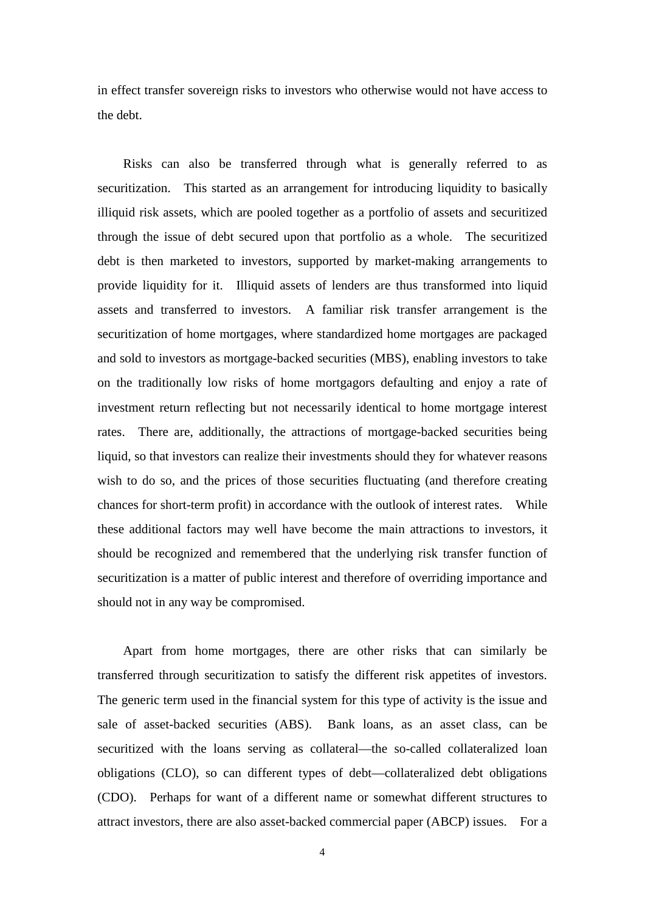in effect transfer sovereign risks to investors who otherwise would not have access to the debt.

Risks can also be transferred through what is generally referred to as securitization. This started as an arrangement for introducing liquidity to basically illiquid risk assets, which are pooled together as a portfolio of assets and securitized through the issue of debt secured upon that portfolio as a whole. The securitized debt is then marketed to investors, supported by market-making arrangements to provide liquidity for it. Illiquid assets of lenders are thus transformed into liquid assets and transferred to investors. A familiar risk transfer arrangement is the securitization of home mortgages, where standardized home mortgages are packaged and sold to investors as mortgage-backed securities (MBS), enabling investors to take on the traditionally low risks of home mortgagors defaulting and enjoy a rate of investment return reflecting but not necessarily identical to home mortgage interest rates. There are, additionally, the attractions of mortgage-backed securities being liquid, so that investors can realize their investments should they for whatever reasons wish to do so, and the prices of those securities fluctuating (and therefore creating chances for short-term profit) in accordance with the outlook of interest rates. While these additional factors may well have become the main attractions to investors, it should be recognized and remembered that the underlying risk transfer function of securitization is a matter of public interest and therefore of overriding importance and should not in any way be compromised.

Apart from home mortgages, there are other risks that can similarly be transferred through securitization to satisfy the different risk appetites of investors. The generic term used in the financial system for this type of activity is the issue and sale of asset-backed securities (ABS). Bank loans, as an asset class, can be securitized with the loans serving as collateral—the so-called collateralized loan obligations (CLO), so can different types of debt—collateralized debt obligations (CDO). Perhaps for want of a different name or somewhat different structures to attract investors, there are also asset-backed commercial paper (ABCP) issues. For a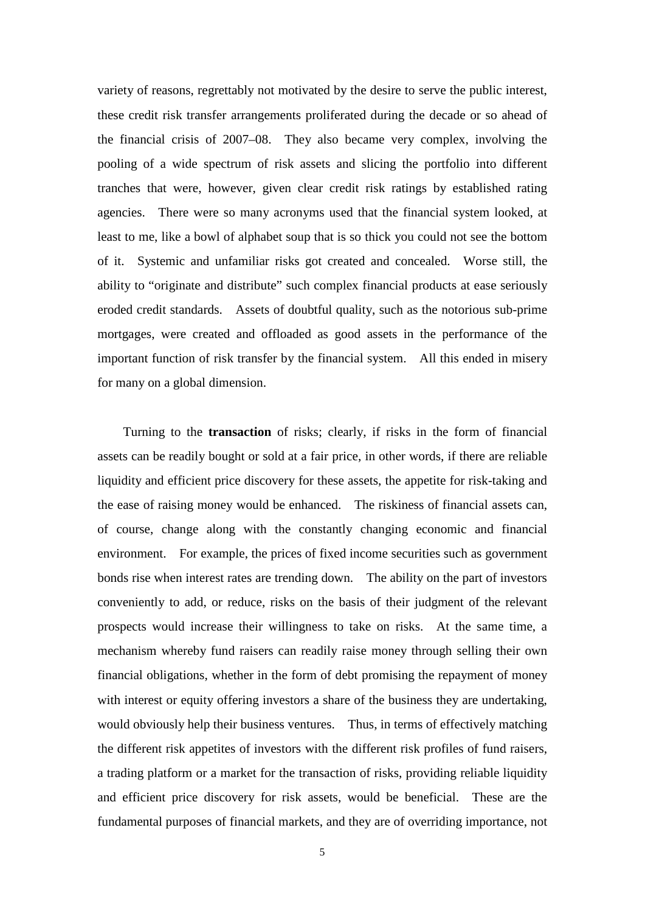variety of reasons, regrettably not motivated by the desire to serve the public interest, these credit risk transfer arrangements proliferated during the decade or so ahead of the financial crisis of 2007–08. They also became very complex, involving the pooling of a wide spectrum of risk assets and slicing the portfolio into different tranches that were, however, given clear credit risk ratings by established rating agencies. There were so many acronyms used that the financial system looked, at least to me, like a bowl of alphabet soup that is so thick you could not see the bottom of it. Systemic and unfamiliar risks got created and concealed. Worse still, the ability to "originate and distribute" such complex financial products at ease seriously eroded credit standards. Assets of doubtful quality, such as the notorious sub-prime mortgages, were created and offloaded as good assets in the performance of the important function of risk transfer by the financial system. All this ended in misery for many on a global dimension.

Turning to the **transaction** of risks; clearly, if risks in the form of financial assets can be readily bought or sold at a fair price, in other words, if there are reliable liquidity and efficient price discovery for these assets, the appetite for risk-taking and the ease of raising money would be enhanced. The riskiness of financial assets can, of course, change along with the constantly changing economic and financial environment. For example, the prices of fixed income securities such as government bonds rise when interest rates are trending down. The ability on the part of investors conveniently to add, or reduce, risks on the basis of their judgment of the relevant prospects would increase their willingness to take on risks. At the same time, a mechanism whereby fund raisers can readily raise money through selling their own financial obligations, whether in the form of debt promising the repayment of money with interest or equity offering investors a share of the business they are undertaking, would obviously help their business ventures. Thus, in terms of effectively matching the different risk appetites of investors with the different risk profiles of fund raisers, a trading platform or a market for the transaction of risks, providing reliable liquidity and efficient price discovery for risk assets, would be beneficial. These are the fundamental purposes of financial markets, and they are of overriding importance, not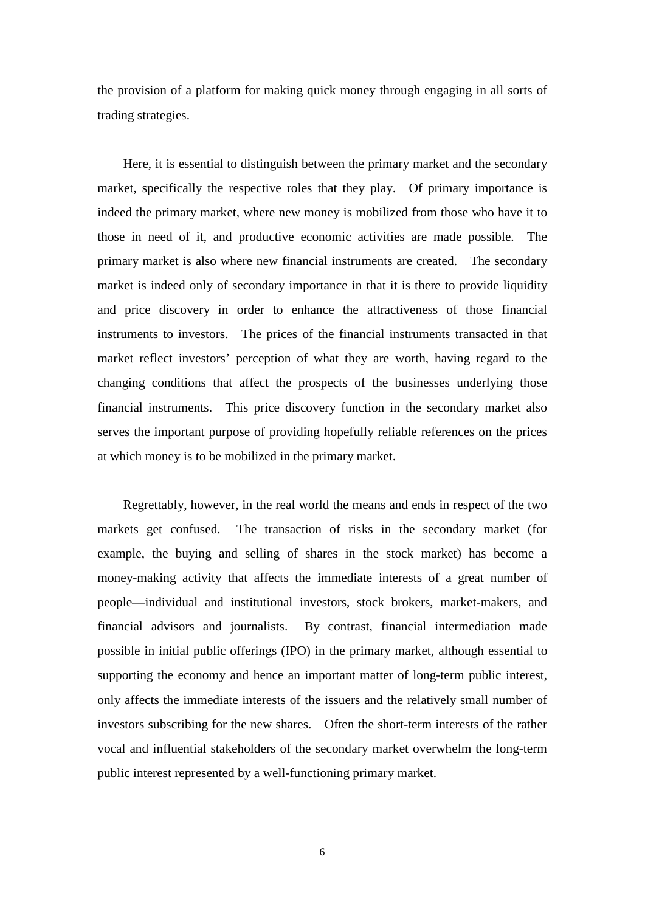the provision of a platform for making quick money through engaging in all sorts of trading strategies.

Here, it is essential to distinguish between the primary market and the secondary market, specifically the respective roles that they play. Of primary importance is indeed the primary market, where new money is mobilized from those who have it to those in need of it, and productive economic activities are made possible. The primary market is also where new financial instruments are created. The secondary market is indeed only of secondary importance in that it is there to provide liquidity and price discovery in order to enhance the attractiveness of those financial instruments to investors. The prices of the financial instruments transacted in that market reflect investors' perception of what they are worth, having regard to the changing conditions that affect the prospects of the businesses underlying those financial instruments. This price discovery function in the secondary market also serves the important purpose of providing hopefully reliable references on the prices at which money is to be mobilized in the primary market.

Regrettably, however, in the real world the means and ends in respect of the two markets get confused. The transaction of risks in the secondary market (for example, the buying and selling of shares in the stock market) has become a money-making activity that affects the immediate interests of a great number of people—individual and institutional investors, stock brokers, market-makers, and financial advisors and journalists. By contrast, financial intermediation made possible in initial public offerings (IPO) in the primary market, although essential to supporting the economy and hence an important matter of long-term public interest, only affects the immediate interests of the issuers and the relatively small number of investors subscribing for the new shares. Often the short-term interests of the rather vocal and influential stakeholders of the secondary market overwhelm the long-term public interest represented by a well-functioning primary market.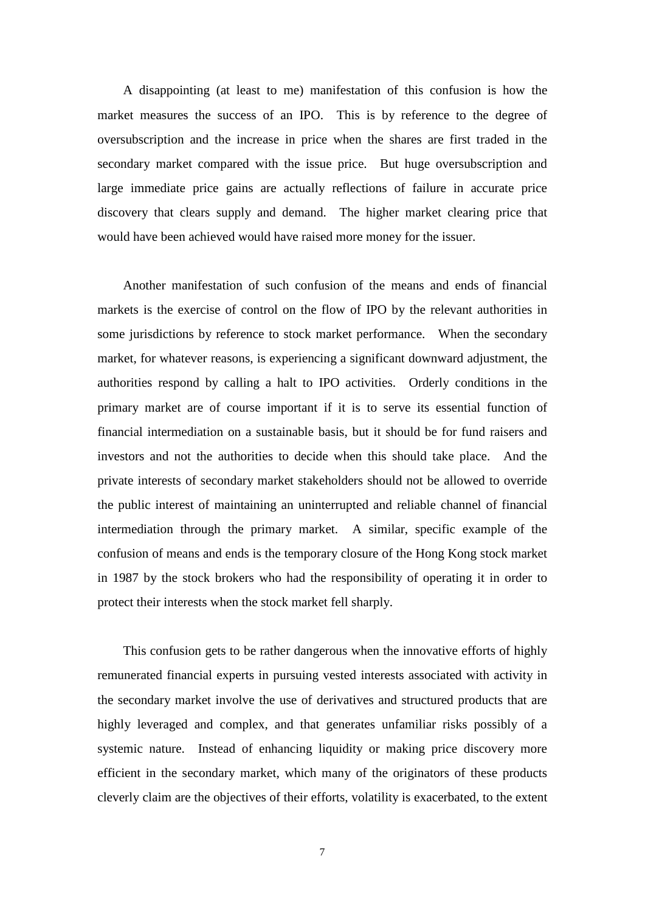A disappointing (at least to me) manifestation of this confusion is how the market measures the success of an IPO. This is by reference to the degree of oversubscription and the increase in price when the shares are first traded in the secondary market compared with the issue price. But huge oversubscription and large immediate price gains are actually reflections of failure in accurate price discovery that clears supply and demand. The higher market clearing price that would have been achieved would have raised more money for the issuer.

Another manifestation of such confusion of the means and ends of financial markets is the exercise of control on the flow of IPO by the relevant authorities in some jurisdictions by reference to stock market performance. When the secondary market, for whatever reasons, is experiencing a significant downward adjustment, the authorities respond by calling a halt to IPO activities. Orderly conditions in the primary market are of course important if it is to serve its essential function of financial intermediation on a sustainable basis, but it should be for fund raisers and investors and not the authorities to decide when this should take place. And the private interests of secondary market stakeholders should not be allowed to override the public interest of maintaining an uninterrupted and reliable channel of financial intermediation through the primary market. A similar, specific example of the confusion of means and ends is the temporary closure of the Hong Kong stock market in 1987 by the stock brokers who had the responsibility of operating it in order to protect their interests when the stock market fell sharply.

This confusion gets to be rather dangerous when the innovative efforts of highly remunerated financial experts in pursuing vested interests associated with activity in the secondary market involve the use of derivatives and structured products that are highly leveraged and complex, and that generates unfamiliar risks possibly of a systemic nature. Instead of enhancing liquidity or making price discovery more efficient in the secondary market, which many of the originators of these products cleverly claim are the objectives of their efforts, volatility is exacerbated, to the extent